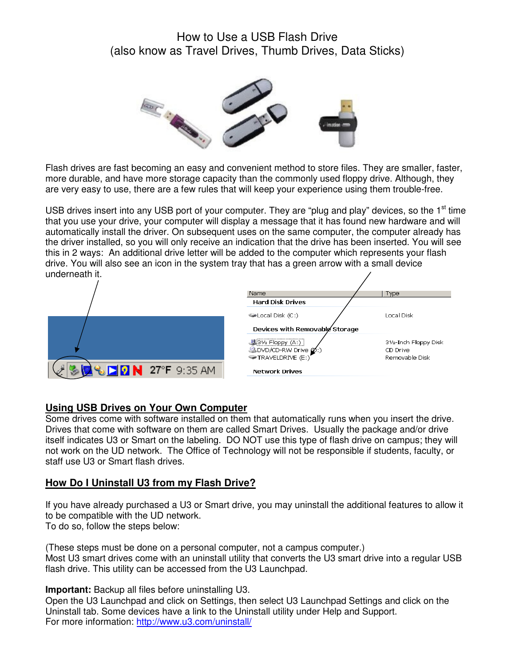# How to Use a USB Flash Drive (also know as Travel Drives, Thumb Drives, Data Sticks)



Flash drives are fast becoming an easy and convenient method to store files. They are smaller, faster, more durable, and have more storage capacity than the commonly used floppy drive. Although, they are very easy to use, there are a few rules that will keep your experience using them trouble-free.

USB drives insert into any USB port of your computer. They are "plug and play" devices, so the  $1<sup>st</sup>$  time that you use your drive, your computer will display a message that it has found new hardware and will automatically install the driver. On subsequent uses on the same computer, the computer already has the driver installed, so you will only receive an indication that the drive has been inserted. You will see this in 2 ways: An additional drive letter will be added to the computer which represents your flash drive. You will also see an icon in the system tray that has a green arrow with a small device underneath it.



#### **Using USB Drives on Your Own Computer**

Some drives come with software installed on them that automatically runs when you insert the drive. Drives that come with software on them are called Smart Drives. Usually the package and/or drive itself indicates U3 or Smart on the labeling. DO NOT use this type of flash drive on campus; they will not work on the UD network. The Office of Technology will not be responsible if students, faculty, or staff use U3 or Smart flash drives.

#### **How Do I Uninstall U3 from my Flash Drive?**

If you have already purchased a U3 or Smart drive, you may uninstall the additional features to allow it to be compatible with the UD network. To do so, follow the steps below:

(These steps must be done on a personal computer, not a campus computer.) Most U3 smart drives come with an uninstall utility that converts the U3 smart drive into a regular USB flash drive. This utility can be accessed from the U3 Launchpad.

**Important:** Backup all files before uninstalling U3.

Open the U3 Launchpad and click on Settings, then select U3 Launchpad Settings and click on the Uninstall tab. Some devices have a link to the Uninstall utility under Help and Support. For more information: http://www.u3.com/uninstall/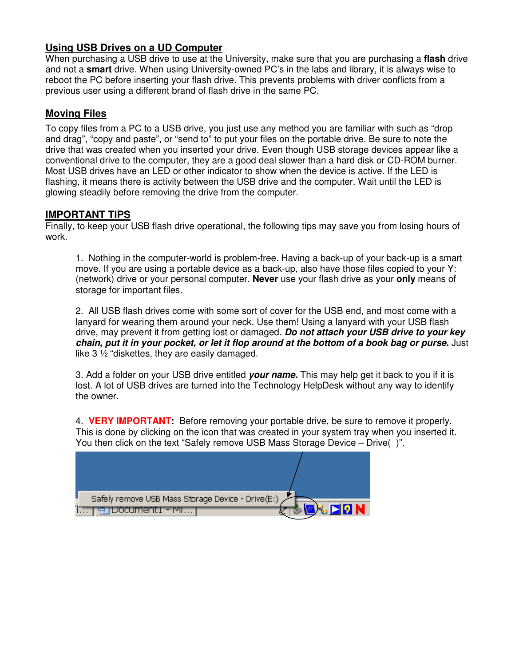## **Using USB Drives on a UD Computer**

When purchasing a USB drive to use at the University, make sure that you are purchasing a **flash** drive and not a **smart** drive. When using University-owned PC's in the labs and library, it is always wise to reboot the PC before inserting your flash drive. This prevents problems with driver conflicts from a previous user using a different brand of flash drive in the same PC.

## **Moving Files**

To copy files from a PC to a USB drive, you just use any method you are familiar with such as "drop and drag", "copy and paste", or "send to" to put your files on the portable drive. Be sure to note the drive that was created when you inserted your drive. Even though USB storage devices appear like a conventional drive to the computer, they are a good deal slower than a hard disk or CD-ROM burner. Most USB drives have an LED or other indicator to show when the device is active. If the LED is flashing, it means there is activity between the USB drive and the computer. Wait until the LED is glowing steadily before removing the drive from the computer.

## **IMPORTANT TIPS**

Finally, to keep your USB flash drive operational, the following tips may save you from losing hours of work.

1. Nothing in the computer-world is problem-free. Having a back-up of your back-up is a smart move. If you are using a portable device as a back-up, also have those files copied to your Y: (network) drive or your personal computer. **Never** use your flash drive as your **only** means of storage for important files.

2. All USB flash drives come with some sort of cover for the USB end, and most come with a lanyard for wearing them around your neck. Use them! Using a lanyard with your USB flash drive, may prevent it from getting lost or damaged. **Do not attach your USB drive to your key chain, put it in your pocket, or let it flop around at the bottom of a book bag or purse.** Just like 3 ½ "diskettes, they are easily damaged.

3. Add a folder on your USB drive entitled **your name.** This may help get it back to you if it is lost. A lot of USB drives are turned into the Technology HelpDesk without any way to identify the owner.

4. **VERY IMPORTANT:** Before removing your portable drive, be sure to remove it properly. This is done by clicking on the icon that was created in your system tray when you inserted it. You then click on the text "Safely remove USB Mass Storage Device – Drive( )".